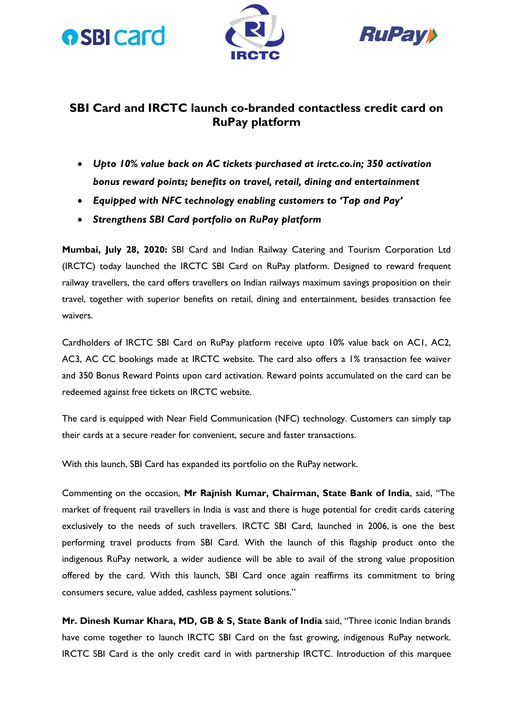





### **SBI Card and IRCTC launch co-branded contactless credit card on RuPay platform**

- *Upto 10% value back on AC tickets purchased at irctc.co.in; 350 activation bonus reward points; benefits on travel, retail, dining and entertainment*
- *Equipped with NFC technology enabling customers to 'Tap and Pay'*
- *Strengthens SBI Card portfolio on RuPay platform*

**Mumbai, July 28, 2020:** SBI Card and Indian Railway Catering and Tourism Corporation Ltd (IRCTC) today launched the IRCTC SBI Card on RuPay platform. Designed to reward frequent railway travellers, the card offers travellers on Indian railways maximum savings proposition on their travel, together with superior benefits on retail, dining and entertainment, besides transaction fee waivers.

Cardholders of IRCTC SBI Card on RuPay platform receive upto 10% value back on AC1, AC2, AC3, AC CC bookings made at IRCTC website. The card also offers a 1% transaction fee waiver and 350 Bonus Reward Points upon card activation. Reward points accumulated on the card can be redeemed against free tickets on IRCTC website.

The card is equipped with Near Field Communication (NFC) technology. Customers can simply tap their cards at a secure reader for convenient, secure and faster transactions.

With this launch, SBI Card has expanded its portfolio on the RuPay network.

Commenting on the occasion, **Mr Rajnish Kumar, Chairman, State Bank of India**, said, "The market of frequent rail travellers in India is vast and there is huge potential for credit cards catering exclusively to the needs of such travellers. IRCTC SBI Card, launched in 2006, is one the best performing travel products from SBI Card. With the launch of this flagship product onto the indigenous RuPay network, a wider audience will be able to avail of the strong value proposition offered by the card. With this launch, SBI Card once again reaffirms its commitment to bring consumers secure, value added, cashless payment solutions."

**Mr. Dinesh Kumar Khara, MD, GB & S, State Bank of India** said, "Three iconic Indian brands have come together to launch IRCTC SBI Card on the fast growing, indigenous RuPay network. IRCTC SBI Card is the only credit card in with partnership IRCTC. Introduction of this marquee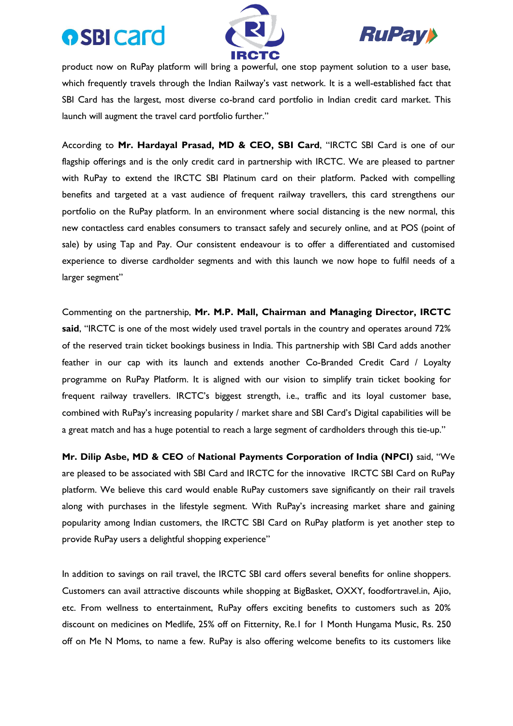## **osBI card**





product now on RuPay platform will bring a powerful, one stop payment solution to a user base, which frequently travels through the Indian Railway's vast network. It is a well-established fact that SBI Card has the largest, most diverse co-brand card portfolio in Indian credit card market. This launch will augment the travel card portfolio further."

According to **Mr. Hardayal Prasad, MD & CEO, SBI Card**, "IRCTC SBI Card is one of our flagship offerings and is the only credit card in partnership with IRCTC. We are pleased to partner with RuPay to extend the IRCTC SBI Platinum card on their platform. Packed with compelling benefits and targeted at a vast audience of frequent railway travellers, this card strengthens our portfolio on the RuPay platform. In an environment where social distancing is the new normal, this new contactless card enables consumers to transact safely and securely online, and at POS (point of sale) by using Tap and Pay. Our consistent endeavour is to offer a differentiated and customised experience to diverse cardholder segments and with this launch we now hope to fulfil needs of a larger segment"

Commenting on the partnership, **Mr. M.P. Mall, Chairman and Managing Director, IRCTC said**, "IRCTC is one of the most widely used travel portals in the country and operates around 72% of the reserved train ticket bookings business in India. This partnership with SBI Card adds another feather in our cap with its launch and extends another Co-Branded Credit Card / Loyalty programme on RuPay Platform. It is aligned with our vision to simplify train ticket booking for frequent railway travellers. IRCTC's biggest strength, i.e., traffic and its loyal customer base, combined with RuPay's increasing popularity / market share and SBI Card's Digital capabilities will be a great match and has a huge potential to reach a large segment of cardholders through this tie-up."

**Mr. Dilip Asbe, MD & CEO** of **National Payments Corporation of India (NPCI)** said, "We are pleased to be associated with SBI Card and IRCTC for the innovative IRCTC SBI Card on RuPay platform. We believe this card would enable RuPay customers save significantly on their rail travels along with purchases in the lifestyle segment. With RuPay's increasing market share and gaining popularity among Indian customers, the IRCTC SBI Card on RuPay platform is yet another step to provide RuPay users a delightful shopping experience"

In addition to savings on rail travel, the IRCTC SBI card offers several benefits for online shoppers. Customers can avail attractive discounts while shopping at BigBasket, OXXY, foodfortravel.in, Ajio, etc. From wellness to entertainment, RuPay offers exciting benefits to customers such as 20% discount on medicines on Medlife, 25% off on Fitternity, Re.1 for 1 Month Hungama Music, Rs. 250 off on Me N Moms, to name a few. RuPay is also offering welcome benefits to its customers like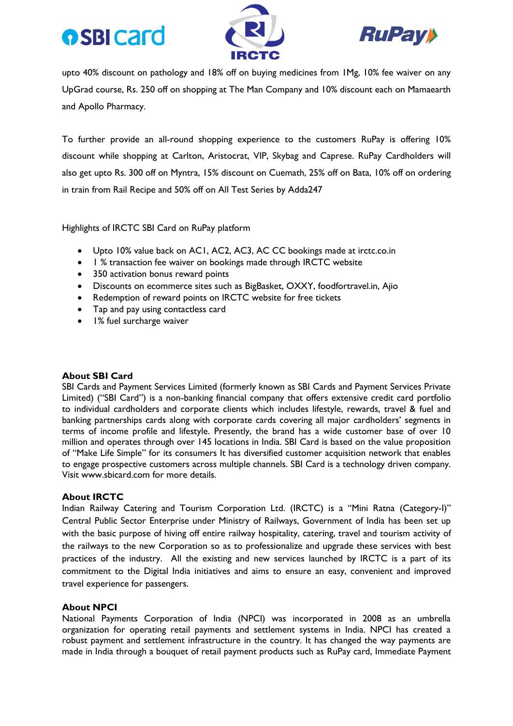# **o** SBI card





upto 40% discount on pathology and 18% off on buying medicines from 1Mg, 10% fee waiver on any UpGrad course, Rs. 250 off on shopping at The Man Company and 10% discount each on Mamaearth and Apollo Pharmacy.

To further provide an all-round shopping experience to the customers RuPay is offering 10% discount while shopping at Carlton, Aristocrat, VIP, Skybag and Caprese. RuPay Cardholders will also get upto Rs. 300 off on Myntra, 15% discount on Cuemath, 25% off on Bata, 10% off on ordering in train from Rail Recipe and 50% off on All Test Series by Adda247

Highlights of IRCTC SBI Card on RuPay platform

- Upto 10% value back on AC1, AC2, AC3, AC CC bookings made at irctc.co.in
- 1 % transaction fee waiver on bookings made through IRCTC website
- 350 activation bonus reward points
- Discounts on ecommerce sites such as BigBasket, OXXY, foodfortravel.in, Ajio
- Redemption of reward points on IRCTC website for free tickets
- Tap and pay using contactless card
- 1% fuel surcharge waiver

#### **About SBI Card**

SBI Cards and Payment Services Limited (formerly known as SBI Cards and Payment Services Private Limited) ("SBI Card") is a non-banking financial company that offers extensive credit card portfolio to individual cardholders and corporate clients which includes lifestyle, rewards, travel & fuel and banking partnerships cards along with corporate cards covering all major cardholders' segments in terms of income profile and lifestyle. Presently, the brand has a wide customer base of over 10 million and operates through over 145 locations in India. SBI Card is based on the value proposition of "Make Life Simple" for its consumers It has diversified customer acquisition network that enables to engage prospective customers across multiple channels. SBI Card is a technology driven company. Visit www.sbicard.com for more details.

#### **About IRCTC**

Indian Railway Catering and Tourism Corporation Ltd. (IRCTC) is a "Mini Ratna (Category-I)" Central Public Sector Enterprise under Ministry of Railways, Government of India has been set up with the basic purpose of hiving off entire railway hospitality, catering, travel and tourism activity of the railways to the new Corporation so as to professionalize and upgrade these services with best practices of the industry. All the existing and new services launched by IRCTC is a part of its commitment to the Digital India initiatives and aims to ensure an easy, convenient and improved travel experience for passengers.

#### **About NPCI**

National Payments Corporation of India (NPCI) was incorporated in 2008 as an umbrella organization for operating retail payments and settlement systems in India. NPCI has created a robust payment and settlement infrastructure in the country. It has changed the way payments are made in India through a bouquet of retail payment products such as [RuPay card,](https://www.npci.org.in/product-overview/rupay-product-overview) [Immediate Payment](https://www.npci.org.in/product-overview/imps-product-overview)